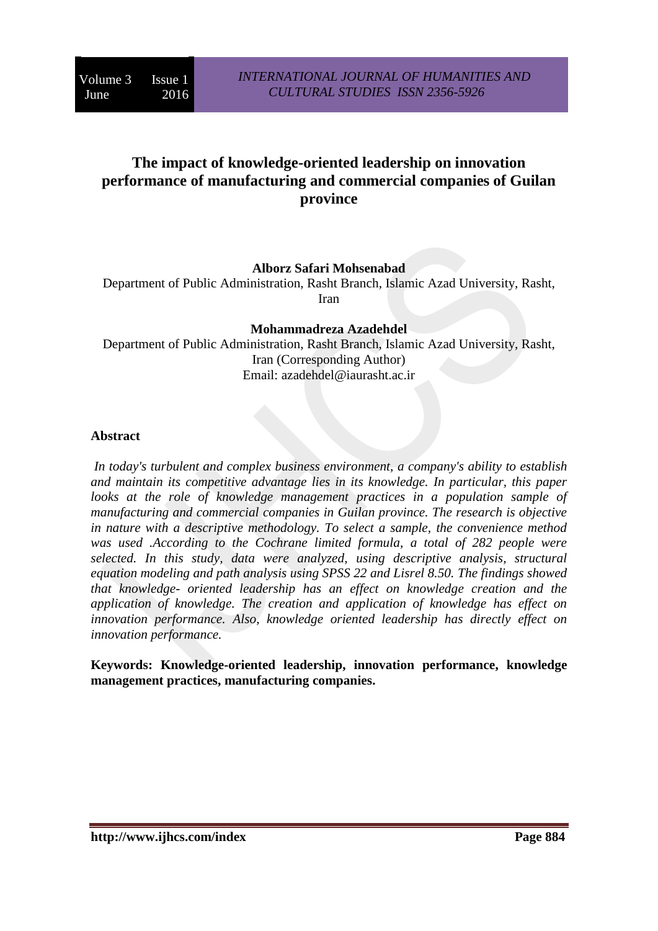# **The impact of knowledge-oriented leadership on innovation performance of manufacturing and commercial companies of Guilan province**

# **Alborz Safari Mohsenabad**

Department of Public Administration, Rasht Branch, Islamic Azad University, Rasht, Iran

**Mohammadreza Azadehdel** Department of Public Administration, Rasht Branch, Islamic Azad University, Rasht, Iran (Corresponding Author) Email: [azadehdel@iaurasht.ac.ir](mailto:azadehdel@iaurasht.ac.ir)

### **Abstract**

*In today's turbulent and complex business environment, a company's ability to establish and maintain its competitive advantage lies in its knowledge. In particular, this paper looks at the role of knowledge management practices in a population sample of manufacturing and commercial companies in Guilan province. The research is objective in nature with a descriptive methodology. To select a sample, the convenience method*  was used .According to the Cochrane limited formula, a total of 282 people were *selected. In this study, data were analyzed, using descriptive analysis, structural equation modeling and path analysis using SPSS 22 and Lisrel 8.50. The findings showed that knowledge- oriented leadership has an effect on knowledge creation and the application of knowledge. The creation and application of knowledge has effect on innovation performance. Also, knowledge oriented leadership has directly effect on innovation performance.*

**Keywords: Knowledge-oriented leadership, innovation performance, knowledge management practices, manufacturing companies.**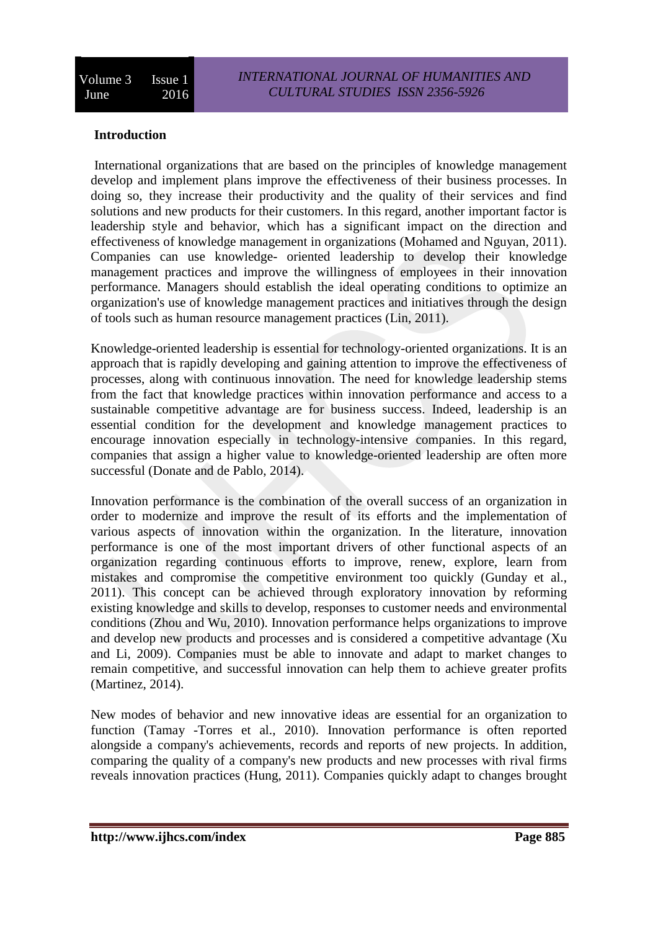# **Introduction**

International organizations that are based on the principles of knowledge management develop and implement plans improve the effectiveness of their business processes. In doing so, they increase their productivity and the quality of their services and find solutions and new products for their customers. In this regard, another important factor is leadership style and behavior, which has a significant impact on the direction and effectiveness of knowledge management in organizations (Mohamed and Nguyan, 2011). Companies can use knowledge- oriented leadership to develop their knowledge management practices and improve the willingness of employees in their innovation performance. Managers should establish the ideal operating conditions to optimize an organization's use of knowledge management practices and initiatives through the design of tools such as human resource management practices (Lin, 2011).

Knowledge-oriented leadership is essential for technology-oriented organizations. It is an approach that is rapidly developing and gaining attention to improve the effectiveness of processes, along with continuous innovation. The need for knowledge leadership stems from the fact that knowledge practices within innovation performance and access to a sustainable competitive advantage are for business success. Indeed, leadership is an essential condition for the development and knowledge management practices to encourage innovation especially in technology-intensive companies. In this regard, companies that assign a higher value to knowledge-oriented leadership are often more successful (Donate and de Pablo, 2014).

Innovation performance is the combination of the overall success of an organization in order to modernize and improve the result of its efforts and the implementation of various aspects of innovation within the organization. In the literature, innovation performance is one of the most important drivers of other functional aspects of an organization regarding continuous efforts to improve, renew, explore, learn from mistakes and compromise the competitive environment too quickly (Gunday et al., 2011). This concept can be achieved through exploratory innovation by reforming existing knowledge and skills to develop, responses to customer needs and environmental conditions (Zhou and Wu, 2010). Innovation performance helps organizations to improve and develop new products and processes and is considered a competitive advantage (Xu and Li, 2009). Companies must be able to innovate and adapt to market changes to remain competitive, and successful innovation can help them to achieve greater profits (Martinez, 2014).

New modes of behavior and new innovative ideas are essential for an organization to function (Tamay -Torres et al., 2010). Innovation performance is often reported alongside a company's achievements, records and reports of new projects. In addition, comparing the quality of a company's new products and new processes with rival firms reveals innovation practices (Hung, 2011). Companies quickly adapt to changes brought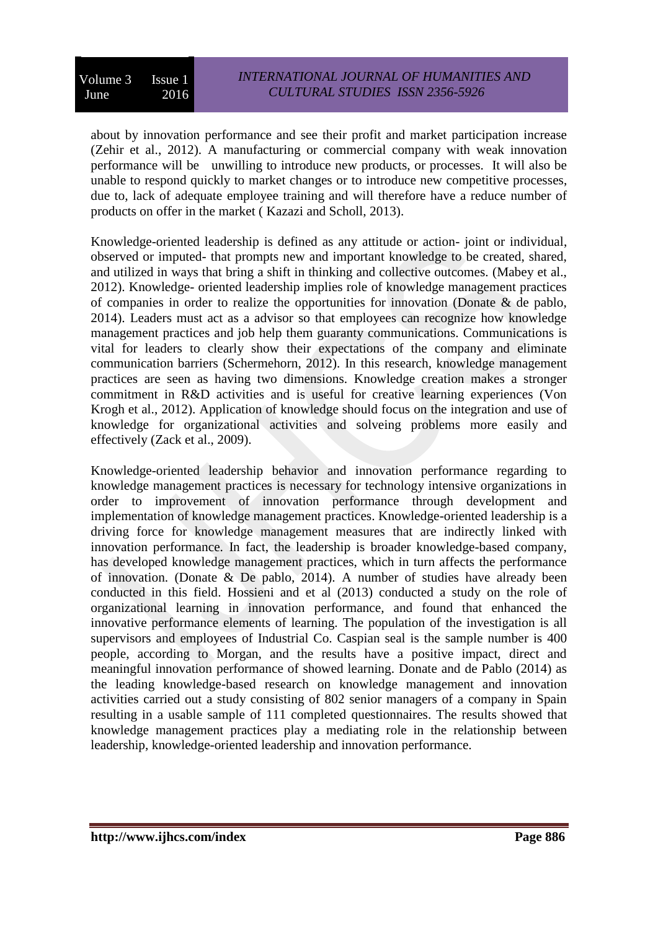about by innovation performance and see their profit and market participation increase (Zehir et al., 2012). A manufacturing or commercial company with weak innovation performance will be unwilling to introduce new products, or processes. It will also be unable to respond quickly to market changes or to introduce new competitive processes, due to, lack of adequate employee training and will therefore have a reduce number of products on offer in the market ( Kazazi and Scholl, 2013).

Knowledge-oriented leadership is defined as any attitude or action- joint or individual, observed or imputed- that prompts new and important knowledge to be created, shared, and utilized in ways that bring a shift in thinking and collective outcomes. (Mabey et al., 2012). Knowledge- oriented leadership implies role of knowledge management practices of companies in order to realize the opportunities for innovation (Donate & de pablo, 2014). Leaders must act as a advisor so that employees can recognize how knowledge management practices and job help them guaranty communications. Communications is vital for leaders to clearly show their expectations of the company and eliminate communication barriers (Schermehorn, 2012). In this research, knowledge management practices are seen as having two dimensions. Knowledge creation makes a stronger commitment in R&D activities and is useful for creative learning experiences (Von Krogh et al., 2012). Application of knowledge should focus on the integration and use of knowledge for organizational activities and solveing problems more easily and effectively (Zack et al., 2009).

Knowledge-oriented leadership behavior and innovation performance regarding to knowledge management practices is necessary for technology intensive organizations in order to improvement of innovation performance through development and implementation of knowledge management practices. Knowledge-oriented leadership is a driving force for knowledge management measures that are indirectly linked with innovation performance. In fact, the leadership is broader knowledge-based company, has developed knowledge management practices, which in turn affects the performance of innovation. (Donate & De pablo, 2014). A number of studies have already been conducted in this field. Hossieni and et al (2013) conducted a study on the role of organizational learning in innovation performance, and found that enhanced the innovative performance elements of learning. The population of the investigation is all supervisors and employees of Industrial Co. Caspian seal is the sample number is 400 people, according to Morgan, and the results have a positive impact, direct and meaningful innovation performance of showed learning. Donate and de Pablo (2014) as the leading knowledge-based research on knowledge management and innovation activities carried out a study consisting of 802 senior managers of a company in Spain resulting in a usable sample of 111 completed questionnaires. The results showed that knowledge management practices play a mediating role in the relationship between leadership, knowledge-oriented leadership and innovation performance.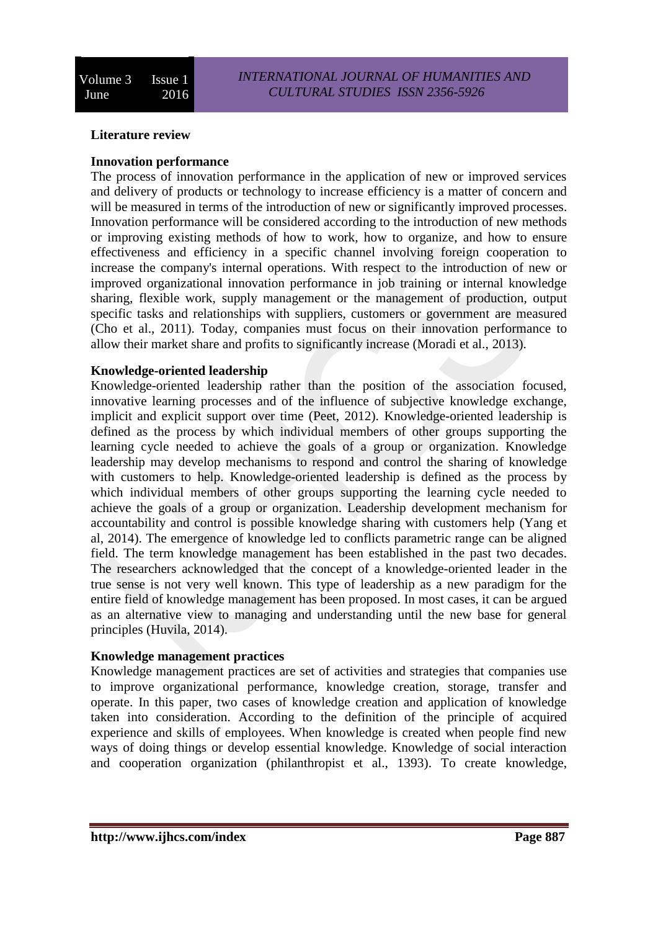### **Literature review**

#### **Innovation performance**

The process of innovation performance in the application of new or improved services and delivery of products or technology to increase efficiency is a matter of concern and will be measured in terms of the introduction of new or significantly improved processes. Innovation performance will be considered according to the introduction of new methods or improving existing methods of how to work, how to organize, and how to ensure effectiveness and efficiency in a specific channel involving foreign cooperation to increase the company's internal operations. With respect to the introduction of new or improved organizational innovation performance in job training or internal knowledge sharing, flexible work, supply management or the management of production, output specific tasks and relationships with suppliers, customers or government are measured (Cho et al., 2011). Today, companies must focus on their innovation performance to allow their market share and profits to significantly increase (Moradi et al., 2013).

### **Knowledge-oriented leadership**

Knowledge-oriented leadership rather than the position of the association focused, innovative learning processes and of the influence of subjective knowledge exchange, implicit and explicit support over time (Peet, 2012). Knowledge-oriented leadership is defined as the process by which individual members of other groups supporting the learning cycle needed to achieve the goals of a group or organization. Knowledge leadership may develop mechanisms to respond and control the sharing of knowledge with customers to help. Knowledge-oriented leadership is defined as the process by which individual members of other groups supporting the learning cycle needed to achieve the goals of a group or organization. Leadership development mechanism for accountability and control is possible knowledge sharing with customers help (Yang et al, 2014). The emergence of knowledge led to conflicts parametric range can be aligned field. The term knowledge management has been established in the past two decades. The researchers acknowledged that the concept of a knowledge-oriented leader in the true sense is not very well known. This type of leadership as a new paradigm for the entire field of knowledge management has been proposed. In most cases, it can be argued as an alternative view to managing and understanding until the new base for general principles (Huvila, 2014).

#### **Knowledge management practices**

Knowledge management practices are set of activities and strategies that companies use to improve organizational performance, knowledge creation, storage, transfer and operate. In this paper, two cases of knowledge creation and application of knowledge taken into consideration. According to the definition of the principle of acquired experience and skills of employees. When knowledge is created when people find new ways of doing things or develop essential knowledge. Knowledge of social interaction and cooperation organization (philanthropist et al., 1393). To create knowledge,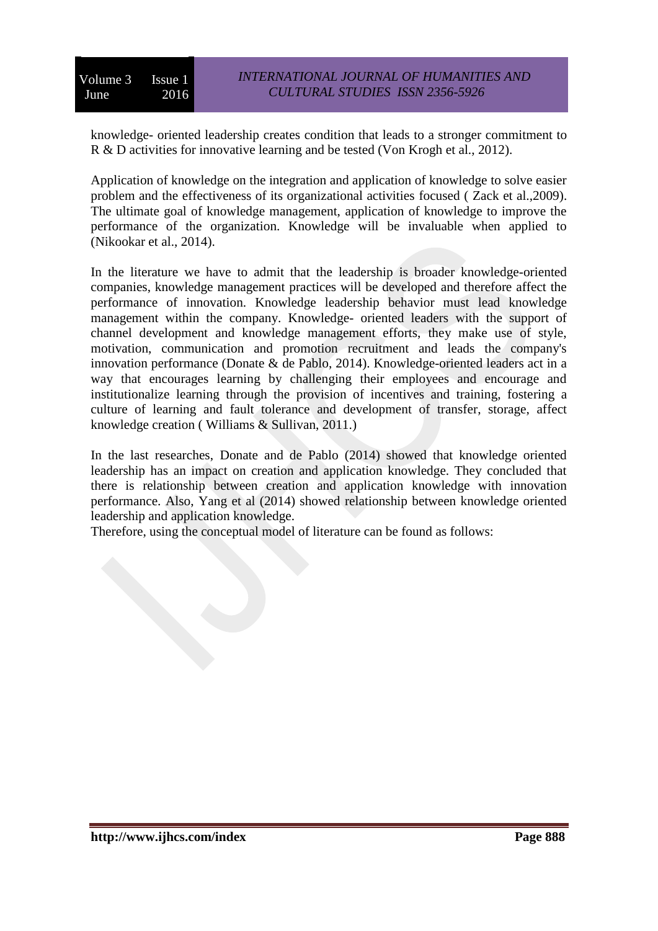knowledge- oriented leadership creates condition that leads to a stronger commitment to R & D activities for innovative learning and be tested (Von Krogh et al., 2012).

Application of knowledge on the integration and application of knowledge to solve easier problem and the effectiveness of its organizational activities focused ( Zack et al.,2009). The ultimate goal of knowledge management, application of knowledge to improve the performance of the organization. Knowledge will be invaluable when applied to (Nikookar et al., 2014).

In the literature we have to admit that the leadership is broader knowledge-oriented companies, knowledge management practices will be developed and therefore affect the performance of innovation. Knowledge leadership behavior must lead knowledge management within the company. Knowledge- oriented leaders with the support of channel development and knowledge management efforts, they make use of style, motivation, communication and promotion recruitment and leads the company's innovation performance (Donate & de Pablo, 2014). Knowledge-oriented leaders act in a way that encourages learning by challenging their employees and encourage and institutionalize learning through the provision of incentives and training, fostering a culture of learning and fault tolerance and development of transfer, storage, affect knowledge creation ( Williams & Sullivan, 2011.)

In the last researches, Donate and de Pablo (2014) showed that knowledge oriented leadership has an impact on creation and application knowledge. They concluded that there is relationship between creation and application knowledge with innovation performance. Also, Yang et al (2014) showed relationship between knowledge oriented leadership and application knowledge.

Therefore, using the conceptual model of literature can be found as follows: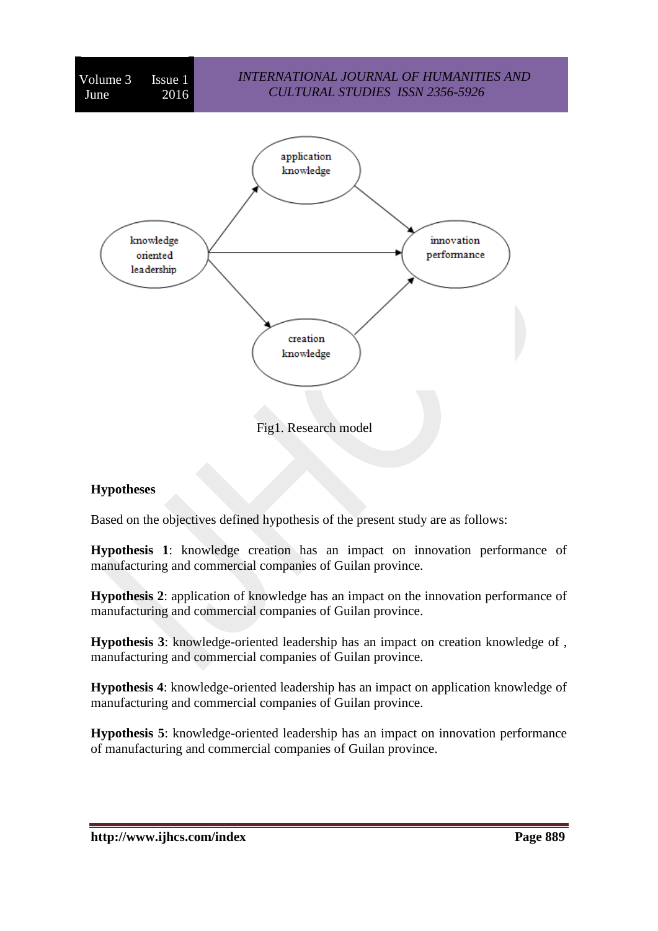

# **Hypotheses**

Based on the objectives defined hypothesis of the present study are as follows:

**Hypothesis 1**: knowledge creation has an impact on innovation performance of manufacturing and commercial companies of Guilan province.

**Hypothesis 2**: application of knowledge has an impact on the innovation performance of manufacturing and commercial companies of Guilan province.

**Hypothesis 3**: knowledge-oriented leadership has an impact on creation knowledge of , manufacturing and commercial companies of Guilan province.

**Hypothesis 4**: knowledge-oriented leadership has an impact on application knowledge of manufacturing and commercial companies of Guilan province.

**Hypothesis 5**: knowledge-oriented leadership has an impact on innovation performance of manufacturing and commercial companies of Guilan province.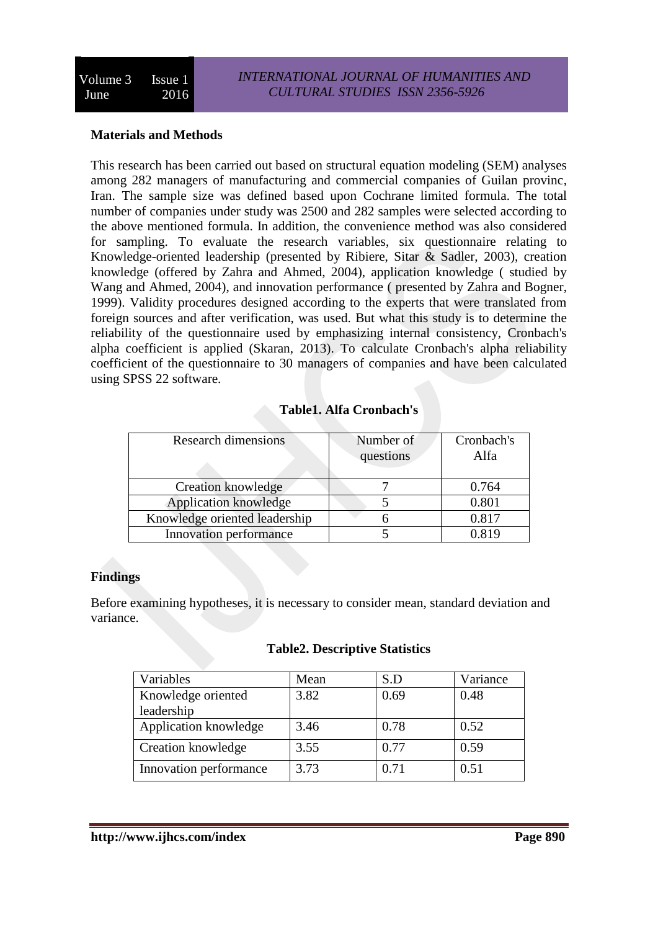# **Materials and Methods**

This research has been carried out based on structural equation modeling (SEM) analyses among 282 managers of manufacturing and commercial companies of Guilan provinc, Iran. The sample size was defined based upon Cochrane limited formula. The total number of companies under study was 2500 and 282 samples were selected according to the above mentioned formula. In addition, the convenience method was also considered for sampling. To evaluate the research variables, six questionnaire relating to Knowledge-oriented leadership (presented by Ribiere, Sitar & Sadler, 2003), creation knowledge (offered by Zahra and Ahmed, 2004), application knowledge ( studied by Wang and Ahmed, 2004), and innovation performance ( presented by Zahra and Bogner, 1999). Validity procedures designed according to the experts that were translated from foreign sources and after verification, was used. But what this study is to determine the reliability of the questionnaire used by emphasizing internal consistency, Cronbach's alpha coefficient is applied (Skaran, 2013). To calculate Cronbach's alpha reliability coefficient of the questionnaire to 30 managers of companies and have been calculated using SPSS 22 software.

# **Table1. Alfa Cronbach's**

| <b>Research dimensions</b>    | Number of<br>questions | Cronbach's<br>Alfa |
|-------------------------------|------------------------|--------------------|
| Creation knowledge            |                        | 0.764              |
| Application knowledge         |                        | 0.801              |
| Knowledge oriented leadership |                        | 0.817              |
| Innovation performance        |                        | 0.819              |

# **Findings**

Before examining hypotheses, it is necessary to consider mean, standard deviation and variance.

# **Table2. Descriptive Statistics**

| Variables              | Mean | S.D  | Variance |
|------------------------|------|------|----------|
| Knowledge oriented     | 3.82 | 0.69 | 0.48     |
| leadership             |      |      |          |
| Application knowledge  | 3.46 | 0.78 | 0.52     |
| Creation knowledge     | 3.55 | 0.77 | 0.59     |
| Innovation performance | 3.73 | 0.71 | 0.51     |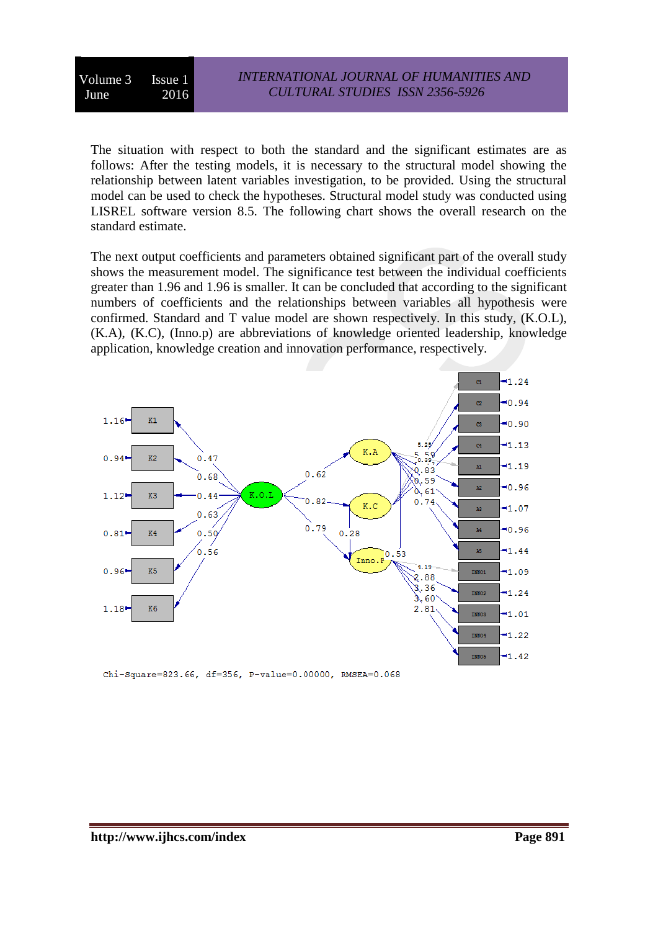Volume 3 Issue 1 June 2016

The situation with respect to both the standard and the significant estimates are as follows: After the testing models, it is necessary to the structural model showing the relationship between latent variables investigation, to be provided. Using the structural model can be used to check the hypotheses. Structural model study was conducted using LISREL software version 8.5. The following chart shows the overall research on the standard estimate.

The next output coefficients and parameters obtained significant part of the overall study shows the measurement model. The significance test between the individual coefficients greater than 1.96 and 1.96 is smaller. It can be concluded that according to the significant numbers of coefficients and the relationships between variables all hypothesis were confirmed. Standard and T value model are shown respectively. In this study, (K.O.L), (K.A), (K.C), (Inno.p) are abbreviations of knowledge oriented leadership, knowledge application, knowledge creation and innovation performance, respectively.



Chi-Square=823.66, df=356, P-value=0.00000, RMSEA=0.068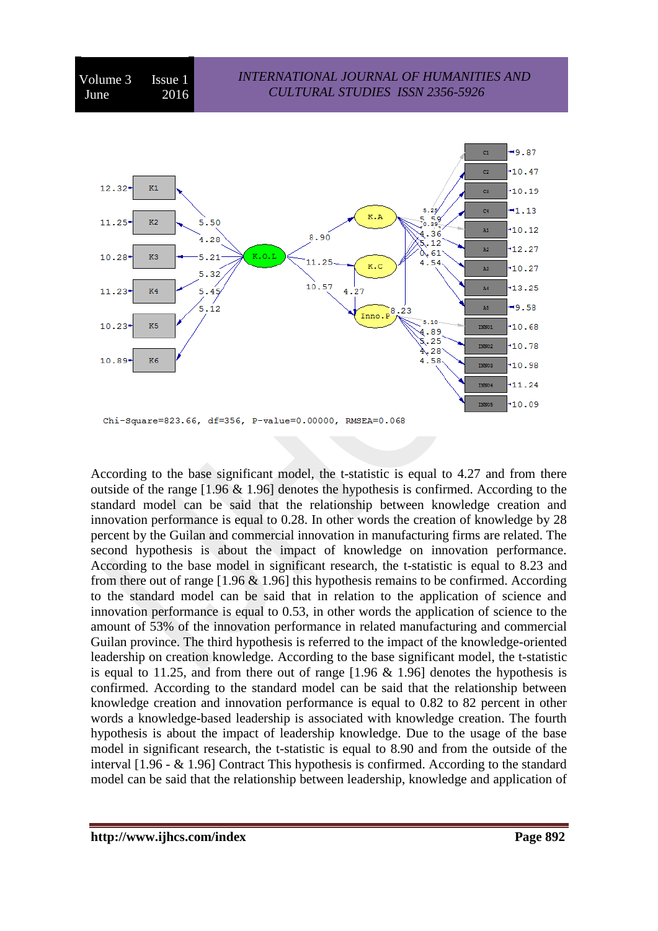



According to the base significant model, the t-statistic is equal to 4.27 and from there outside of the range [1.96 & 1.96] denotes the hypothesis is confirmed. According to the standard model can be said that the relationship between knowledge creation and innovation performance is equal to 0.28. In other words the creation of knowledge by 28 percent by the Guilan and commercial innovation in manufacturing firms are related. The second hypothesis is about the impact of knowledge on innovation performance. According to the base model in significant research, the t-statistic is equal to 8.23 and from there out of range  $[1.96 \& 1.96]$  this hypothesis remains to be confirmed. According to the standard model can be said that in relation to the application of science and innovation performance is equal to 0.53, in other words the application of science to the amount of 53% of the innovation performance in related manufacturing and commercial Guilan province. The third hypothesis is referred to the impact of the knowledge-oriented leadership on creation knowledge. According to the base significant model, the t-statistic is equal to 11.25, and from there out of range [1.96 & 1.96] denotes the hypothesis is confirmed. According to the standard model can be said that the relationship between knowledge creation and innovation performance is equal to 0.82 to 82 percent in other words a knowledge-based leadership is associated with knowledge creation. The fourth hypothesis is about the impact of leadership knowledge. Due to the usage of the base model in significant research, the t-statistic is equal to 8.90 and from the outside of the interval [1.96 - & 1.96] Contract This hypothesis is confirmed. According to the standard model can be said that the relationship between leadership, knowledge and application of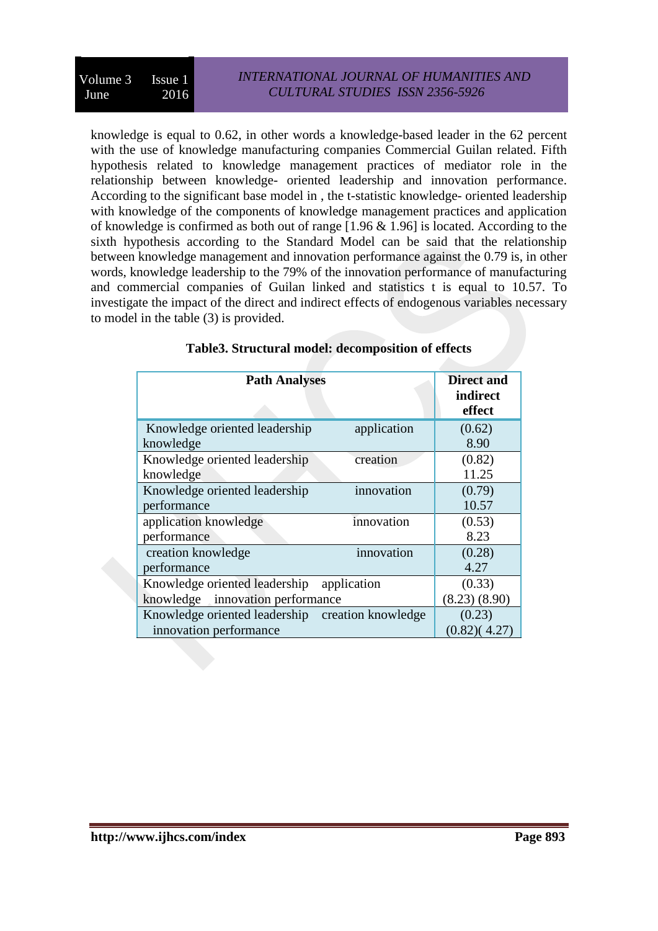knowledge is equal to 0.62, in other words a knowledge-based leader in the 62 percent with the use of knowledge manufacturing companies Commercial Guilan related. Fifth hypothesis related to knowledge management practices of mediator role in the relationship between knowledge- oriented leadership and innovation performance. According to the significant base model in , the t-statistic knowledge- oriented leadership with knowledge of the components of knowledge management practices and application of knowledge is confirmed as both out of range [1.96 & 1.96] is located. According to the sixth hypothesis according to the Standard Model can be said that the relationship between knowledge management and innovation performance against the 0.79 is, in other words, knowledge leadership to the 79% of the innovation performance of manufacturing and commercial companies of Guilan linked and statistics t is equal to 10.57. To investigate the impact of the direct and indirect effects of endogenous variables necessary to model in the table (3) is provided.

| <b>Path Analyses</b>                             | <b>Direct and</b>  |
|--------------------------------------------------|--------------------|
|                                                  | indirect<br>effect |
| Knowledge oriented leadership<br>application     | (0.62)             |
| knowledge                                        | 8.90               |
| Knowledge oriented leadership<br>creation        | (0.82)             |
| knowledge                                        | 11.25              |
| innovation<br>Knowledge oriented leadership      | (0.79)             |
| performance                                      | 10.57              |
| innovation<br>application knowledge              | (0.53)             |
| performance                                      | 8.23               |
| innovation<br>creation knowledge                 | (0.28)             |
| performance                                      | 4.27               |
| Knowledge oriented leadership<br>application     | (0.33)             |
| knowledge<br>innovation performance              | (8.23)(8.90)       |
| Knowledge oriented leadership creation knowledge | (0.23)             |
| innovation performance                           | (0.82)(4.27)       |

### **Table3. Structural model: decomposition of effects**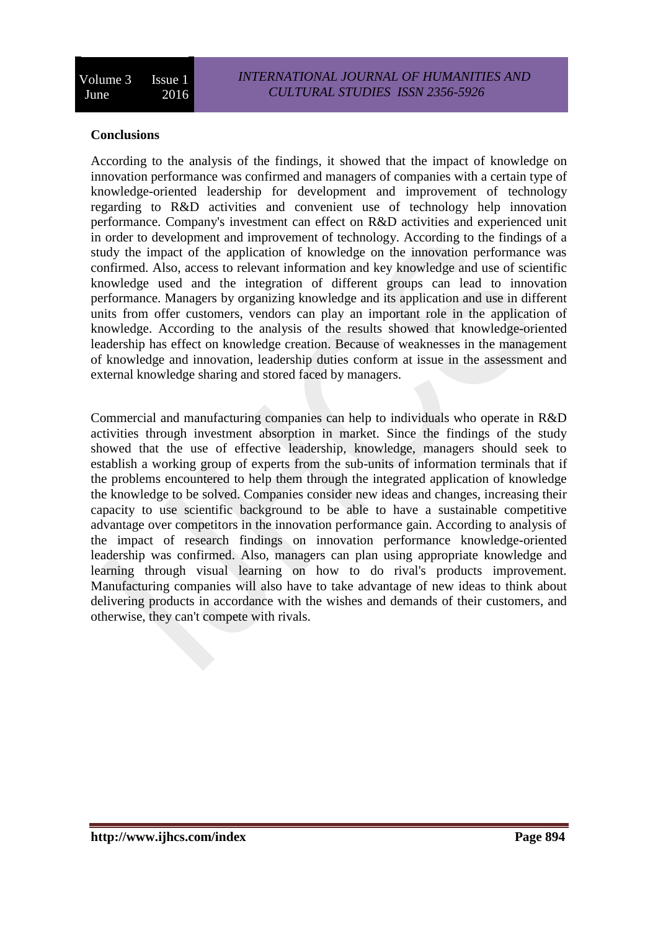### **Conclusions**

According to the analysis of the findings, it showed that the impact of knowledge on innovation performance was confirmed and managers of companies with a certain type of knowledge-oriented leadership for development and improvement of technology regarding to R&D activities and convenient use of technology help innovation performance. Company's investment can effect on R&D activities and experienced unit in order to development and improvement of technology. According to the findings of a study the impact of the application of knowledge on the innovation performance was confirmed. Also, access to relevant information and key knowledge and use of scientific knowledge used and the integration of different groups can lead to innovation performance. Managers by organizing knowledge and its application and use in different units from offer customers, vendors can play an important role in the application of knowledge. According to the analysis of the results showed that knowledge-oriented leadership has effect on knowledge creation. Because of weaknesses in the management of knowledge and innovation, leadership duties conform at issue in the assessment and external knowledge sharing and stored faced by managers.

Commercial and manufacturing companies can help to individuals who operate in R&D activities through investment absorption in market. Since the findings of the study showed that the use of effective leadership, knowledge, managers should seek to establish a working group of experts from the sub-units of information terminals that if the problems encountered to help them through the integrated application of knowledge the knowledge to be solved. Companies consider new ideas and changes, increasing their capacity to use scientific background to be able to have a sustainable competitive advantage over competitors in the innovation performance gain. According to analysis of the impact of research findings on innovation performance knowledge-oriented leadership was confirmed. Also, managers can plan using appropriate knowledge and learning through visual learning on how to do rival's products improvement. Manufacturing companies will also have to take advantage of new ideas to think about delivering products in accordance with the wishes and demands of their customers, and otherwise, they can't compete with rivals.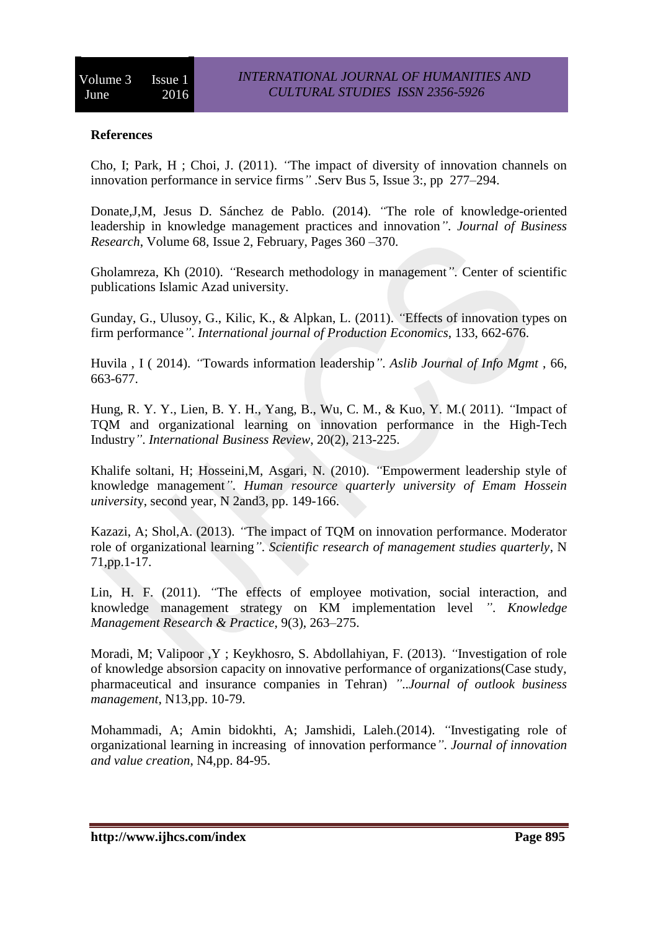# **References**

Cho, I; Park, H ; Choi, J. (2011). *"*The impact of diversity of innovation channels on innovation performance in service firms*"* .Serv Bus 5, [Issue 3:](http://link.springer.com/journal/11628/5/3/page/1), pp 277–294.

Donate,J,M, Jesus D. Sánchez de Pablo. (2014). *"*The role of knowledge-oriented leadership in knowledge management practices and innovation*"*. *[Journal of Business](http://www.sciencedirect.com/science/journal/01482963)  [Research](http://www.sciencedirect.com/science/journal/01482963)*, [Volume 68, Issue 2,](http://www.sciencedirect.com/science/journal/01482963/68/2) February, Pages 360 –370.

Gholamreza, Kh (2010). *"*Research methodology in management*"*. Center of scientific publications Islamic Azad university.

Gunday, G., Ulusoy, G., Kilic, K., & Alpkan, L. (2011). *"*Effects of innovation types on firm performance*"*. *International journal of Production Economics*, 133, 662-676.

Huvila , I ( 2014). *"*Towards information leadership*"*. *Aslib Journal of Info Mgmt* , 66, 663-677.

Hung, R. Y. Y., Lien, B. Y. H., Yang, B., Wu, C. M., & Kuo, Y. M.( 2011). *"*Impact of TQM and organizational learning on innovation performance in the High-Tech Industry*"*. *International Business Review*, 20(2), 213-225.

Khalife soltani, H; Hosseini,M, Asgari, N. (2010). *"*Empowerment leadership style of knowledge management*"*. *Human resource quarterly university of Emam Hossein universit*y, second year, N 2and3, pp. 149-166.

Kazazi, A; Shol,A. (2013). *"*The impact of TQM on innovation performance. Moderator role of organizational learning*"*. *Scientific research of management studies quarterly*, N 71,pp.1-17.

Lin, H. F. (2011). *"*The effects of employee motivation, social interaction, and knowledge management strategy on KM implementation level *"*. *Knowledge Management Research & Practice*, 9(3), 263–275.

Moradi, M; Valipoor ,Y ; Keykhosro, S. Abdollahiyan, F. (2013). *"*Investigation of role of knowledge absorsion capacity on innovative performance of organizations(Case study, pharmaceutical and insurance companies in Tehran) *"*..*Journal of outlook business management*, N13,pp. 10-79.

Mohammadi, A; Amin bidokhti, A; Jamshidi, Laleh.(2014). *"*Investigating role of organizational learning in increasing of innovation performance*"*. *Journal of innovation and value creation*, N4,pp. 84-95.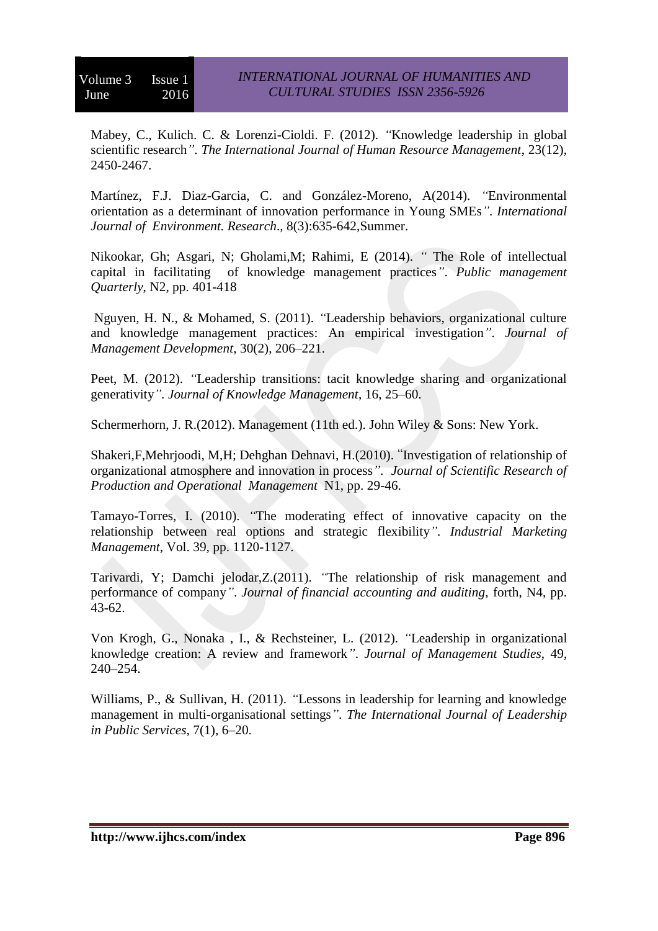Mabey, C., Kulich. C. & Lorenzi-Cioldi. F. (2012). *"*Knowledge leadership in global scientific research*"*. *The International Journal of Human Resource Management*, 23(12), 2450-2467.

Martínez, F.J. Diaz-Garcia, C. and González-Moreno, A(2014). *"*Environmental orientation as a determinant of innovation performance in Young SMEs*"*. *International Journal of Environment. Research*., 8(3):635-642,Summer.

Nikookar, Gh; Asgari, N; Gholami,M; Rahimi, E (2014). *"* The Role of intellectual capital in facilitating of knowledge management practices*"*. *Public management Quarterly*, N2, pp. 401-418

Nguyen, H. N., & Mohamed, S. (2011). *"*Leadership behaviors, organizational culture and knowledge management practices: An empirical investigation*"*. *Journal of Management Development*, 30(2), 206–221.

Peet, M. (2012). *"Leadership transitions: tacit knowledge sharing and organizational* generativity*"*. *Journal of Knowledge Management*, 16, 25–60.

Schermerhorn, J. R.(2012). Management (11th ed.). John Wiley & Sons: New York.

Shakeri,F,Mehrjoodi, M,H; Dehghan Dehnavi, H.(2010). "Investigation of relationship of organizational atmosphere and innovation in process*"*. *Journal of Scientific Research of Production and Operational Management* N1, pp. 29-46.

Tamayo-Torres, I. (2010). *"*The moderating effect of innovative capacity on the relationship between real options and strategic flexibility*"*. *Industrial Marketing Management*, Vol. 39, pp. 1120-1127.

Tarivardi, Y; Damchi jelodar,Z.(2011). *"*The relationship of risk management and performance of company*"*. *Journal of financial accounting and auditing*, forth, N4, pp. 43-62.

Von Krogh, G., Nonaka , I., & Rechsteiner, L. (2012). *"*Leadership in organizational knowledge creation: A review and framework*"*. *Journal of Management Studies*, 49, 240–254.

Williams, P., & Sullivan, H. (2011). *"*Lessons in leadership for learning and knowledge management in multi-organisational settings*"*. *The International Journal of Leadership in Public Services*, 7(1), 6–20.